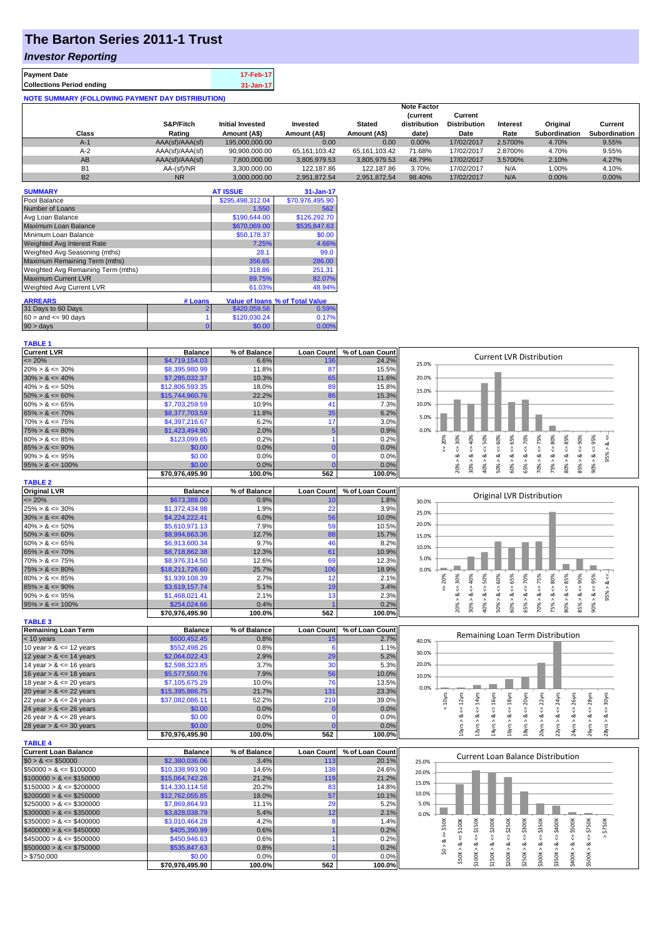## **The Barton Series 2011-1 Trust**

## *Investor Reporting*

| <b>Payment Date</b>                                      | 17-Feb-17     |  |  |  |  |
|----------------------------------------------------------|---------------|--|--|--|--|
| <b>Collections Period ending</b>                         | $31 - Jan-17$ |  |  |  |  |
| <b>NOTE SUMMARY (FOLLOWING PAYMENT DAY DISTRIBUTION)</b> |               |  |  |  |  |

| Class     | S&P/Fitch<br>Rating | <b>Initial Invested</b><br>Amount (A\$) | Invested<br>Amount (A\$) | <b>Stated</b><br>Amount (A\$) | <b>Note Factor</b><br><b>Current</b><br>distribution<br>date) | Current<br><b>Distribution</b><br>Date | Interest<br>Rate | Original<br><b>Subordination</b> | Current<br><b>Subordination</b> |
|-----------|---------------------|-----------------------------------------|--------------------------|-------------------------------|---------------------------------------------------------------|----------------------------------------|------------------|----------------------------------|---------------------------------|
| $A-1$     | AAA(sf)/AAA(sf)     | 195,000,000,00                          | 0.00                     | 0.00                          | $0.00\%$                                                      | 17/02/2017                             | 2.5700%          | 4.70%                            | 9.55%                           |
| $A-2$     | AAA(sf)/AAA(sf)     | 90.900.000.00                           | 65.161.103.42            | 65.161.103.42                 | 71.68%                                                        | 17/02/2017                             | 2.8700%          | 4.70%                            | 9.55%                           |
| AB        | AAA(sf)/AAA(sf)     | 7,800,000.00                            | 3,805,979.53             | 3,805,979.53                  | 48.79%                                                        | 17/02/2017                             | 3.5700%          | 2.10%                            | 4.27%                           |
| <b>B1</b> | AA-(sf)/NR          | 3.300.000.00                            | 122.187.86               | 122.187.86                    | 3.70%                                                         | 17/02/2017                             | N/A              | 1.00%                            | 4.10%                           |
| <b>B2</b> | <b>NR</b>           | 3.000.000.00                            | 2.951.872.54             | 2.951.872.54                  | 98.40%                                                        | 17/02/2017                             | N/A              | 0.00%                            | $0.00\%$                        |

| <b>SUMMARY</b>                     |         | <b>AT ISSUE</b>  | 31-Jan-17                       |
|------------------------------------|---------|------------------|---------------------------------|
| Pool Balance                       |         | \$295,498,312.04 | \$70,976,495.90                 |
| Number of Loans                    |         | 1.550            | 562                             |
| Avg Loan Balance                   |         | \$190,644.00     | \$126,292.70                    |
| Maximum Loan Balance               |         | \$670,069.00     | \$535,847.63                    |
| Minimum Loan Balance               |         | \$50,178.37      | \$0.00                          |
| <b>Weighted Avg Interest Rate</b>  |         | 7.25%            | 4.66%                           |
| Weighted Avg Seasoning (mths)      |         | 28.1             | 99.0                            |
| Maximum Remaining Term (mths)      |         | 356.65           | 286.00                          |
| Weighted Avg Remaining Term (mths) |         | 318.86           | 251.31                          |
| <b>Maximum Current LVR</b>         |         | 89.75%           | 82.07%                          |
| Weighted Avg Current LVR           |         | 61.03%           | 48.94%                          |
| <b>ARREARS</b>                     | # Loans |                  | Value of Ioans % of Total Value |
| 31 Days to 60 Days                 | 2       | \$420,059.56     | 0.59%                           |
| $60 >$ and $\leq 90$ days          |         | \$120,030.24     | 0.17%                           |
| 90 > days                          | 0       | \$0.00           | 0.00%                           |

**TABLE 1**

| <b>Current LVR</b>         | <b>Balance</b>   | % of Balance                   | <b>Loan Count</b> | % of Loan Count | <b>Current LVR Distribution</b>                                                  |
|----------------------------|------------------|--------------------------------|-------------------|-----------------|----------------------------------------------------------------------------------|
| $= 20%$                    | \$4,719,154.03   | 6.6%                           | 136               | 24.2%           | 25.0%                                                                            |
| $20\% > 8 \le 30\%$        | \$8,395,980.99   | 11.8%                          | 87                | 15.5%           |                                                                                  |
| $30\% > 8 \le 40\%$        | \$7,285,032.37   | 10.3%                          | 65                | 11.6%           | 20.0%                                                                            |
| $40\% > 8 \le 50\%$        | \$12,806,593.35  | 18.0%                          | 89                | 15.8%           | 15.0%                                                                            |
| $50\% > 8 \le 60\%$        | \$15,744,960.76  | 22.2%                          | 86                | 15.3%           |                                                                                  |
| $60\% > 8 \le 65\%$        | \$7,703,259.59   | 10.9%                          | 41                | 7.3%            | 10.0%                                                                            |
| $65\% > 8 \le 70\%$        | \$8,377,703.59   | 11.8%                          | 35                | 6.2%            | 5.0%                                                                             |
| $70\% > 8 \le 75\%$        | \$4,397,216.67   | 6.2%                           | 17                | 3.0%            |                                                                                  |
| $75\% > 8 \le 80\%$        | \$1,423,494.90   | 2.0%                           |                   | 0.9%            | 0.0%                                                                             |
| $80\% > 8 \le 85\%$        | \$123,099.65     | 0.2%                           |                   | 0.2%            | 80%<br>40%<br>65%<br>95%<br>30%<br>50%<br>60%<br>70%<br>75%<br>85%<br>90%<br>20% |
| $85\% > 8 \le 90\%$        | \$0.00           | 0.0%                           | $\Omega$          | 0.0%            |                                                                                  |
| $90\% > 8 \le 95\%$        | \$0.00           | 0.0%                           |                   | 0.0%            | œ<br>œ<br>œ<br>∝<br>οð                                                           |
| $95\% > 8 \le 100\%$       | \$0.00           | 0.0%                           |                   | 0.0%            | 30%<br>75%<br>90%<br>40%<br>60%<br>65%<br>70%<br>80%<br>85%<br>20%<br>50%        |
|                            | \$70,976,495.90  | 100.0%                         | 562               | 100.0%          |                                                                                  |
| <b>TABLE 2</b>             |                  |                                |                   |                 |                                                                                  |
| <b>Original LVR</b>        | <b>Balance</b>   | % of Balance                   | <b>Loan Count</b> | % of Loan Count | <b>Original LVR Distribution</b>                                                 |
| $= 20%$                    | \$673,388.00     | 0.9%                           | 10                | 1.8%            | 30.0%                                                                            |
| $25\% > 8 \le 30\%$        | \$1,372,434.98   | 1.9%                           | 22                | 3.9%            | 25.0%                                                                            |
| $30\% > 8 \le 40\%$        | \$4,224,222.41   | 6.0%                           | 56                | 10.0%           |                                                                                  |
| $40\% > 8 \le 50\%$        | \$5,610,971.13   | 7.9%                           | 59                | 10.5%           | 20.0%                                                                            |
| $50\% > 8 \le 60\%$        | \$8,994,663.36   | 12.7%                          | 88                | 15.7%           | 15.0%                                                                            |
| $60\% > 8 \le 65\%$        | \$6,913,600.34   | 9.7%                           | 46                | 8.2%            | 10.0%                                                                            |
| $65\% > 8 \le 70\%$        | \$8,718,862.38   | 12.3%                          | 61                | 10.9%           |                                                                                  |
| $70\% > 8 \le 75\%$        | \$8,976,314.50   | 12.6%                          | 69                | 12.3%           | 5.0%                                                                             |
| $75\% > 8 \le 80\%$        | \$18,211,726.60  | 25.7%                          | 106               | 18.9%           | 0.0%                                                                             |
| $80\% > 8 \le 85\%$        | \$1,939,108.39   | 2.7%                           | 12                | 2.1%            | 65%<br>75%<br>80%<br>95%<br>60%<br>70%<br>90%<br>20%<br>40%<br>50%<br>85%<br>30% |
| $85\% > 8 \le 90\%$        | \$3,619,157.74   | 5.1%                           | 19                | 3.4%            |                                                                                  |
| $90\% > 8 \le 95\%$        | \$1,468,021.41   | 2.1%                           | 13                | 2.3%            | 5%<br>ಷ<br>ಂಶ<br>οX<br>∞<br>∞<br>οð<br>య<br>∝<br>ಂಶ<br>o2                        |
| $95\% > 8 \le 100\%$       | \$254,024.66     | 0.4%                           |                   | 0.2%            | 30%<br>40%<br>65%<br>70%<br>90%<br>20%<br>50%<br>60%<br>75%<br>80%<br>53         |
|                            | \$70.976.495.90  | 100.0%                         | 562               | 100.0%          |                                                                                  |
| <b>TABLE 3</b>             |                  |                                |                   |                 |                                                                                  |
| <b>Remaining Loan Term</b> | <b>Balance</b>   | % of Balance                   | <b>Loan Count</b> | % of Loan Count | Remaining Loan Term Distribution                                                 |
| $-10$ years                | <b>SAN 45245</b> | $\Omega$ R <sup>o</sup> $\sim$ | 15                | 270/            |                                                                                  |

| $< 10$ years               | \$600,452.45    | $0.8\%$ | 15  | 2.7%   | 40.0% |  |  |   | <b>INCHTROTION COULD TELL PISCHIDA</b> |  |
|----------------------------|-----------------|---------|-----|--------|-------|--|--|---|----------------------------------------|--|
| 10 year $> 8 \le 12$ years | \$552,498.26    | 0.8%    |     | 1.1%   |       |  |  |   |                                        |  |
| 12 year $> 8 \le 14$ years | \$2,064,022.43  | 2.9%    | 29  | 5.2%   | 30.0% |  |  |   |                                        |  |
| 14 year $> 8 \le 16$ years | \$2,598,323.85  | 3.7%    | 30  | 5.3%   | 20.0% |  |  |   |                                        |  |
| 16 year $> 8 \le 18$ years | \$5,577,550.76  | 7.9%    | 56  | 10.0%  | 10.0% |  |  |   |                                        |  |
| 18 year $> 8 \le 20$ years | \$7.105.675.29  | 10.0%   | 76  | 13.5%  |       |  |  |   |                                        |  |
| 20 year $> 8 \le 22$ years | \$15,395,886.75 | 21.7%   | 131 | 23.3%  | 0.0%  |  |  |   |                                        |  |
| 22 year $> 8 \le 24$ years | \$37,082,086.11 | 52.2%   | 219 | 39.0%  |       |  |  |   |                                        |  |
| 24 year $> 8 \le 26$ years | \$0.00          | $0.0\%$ |     | 0.0%   |       |  |  |   |                                        |  |
| 26 year $> 8 \le 28$ years | \$0.00          | 0.0%    |     | 0.0%   |       |  |  | œ | ∝                                      |  |
| 28 year $> 8 \le 30$ years | \$0.00          | $0.0\%$ |     | 0.0%   |       |  |  |   |                                        |  |
|                            | \$70.976.495.90 | 100.0%  | 562 | 100.0% |       |  |  |   |                                        |  |

|                              | 310,910,490.90  | 1 UU.U70     | ∍סכ               | 1 UU.U%         | $\overline{ }$<br>$\overline{\phantom{0}}$<br>$\sim$<br>$\sim$<br>$\sim$<br>$\sim$<br>$\sim$ |  |  |  |
|------------------------------|-----------------|--------------|-------------------|-----------------|----------------------------------------------------------------------------------------------|--|--|--|
| <b>TABLE 4</b>               |                 |              |                   |                 |                                                                                              |  |  |  |
| Current Loan Balance         | <b>Balance</b>  | % of Balance | <b>Loan Count</b> | % of Loan Count |                                                                                              |  |  |  |
| $$0 > 8 \leq $50000$         | \$2,380,036.06  | 3.4%         | 113               | 20.1%           | <b>Current Loan Balance Distribution</b><br>25.0%                                            |  |  |  |
| $\$50000 > 8 \leq \$100000$  | \$10,338,993.90 | 14.6%        | 138               | 24.6%           | 20.0%                                                                                        |  |  |  |
| $$100000 > 8 \leq $150000$   | \$15,064,742.26 | 21.2%        | 119               | 21.2%           |                                                                                              |  |  |  |
| $\$150000 > 8 \leq \$200000$ | \$14,330,114.58 | 20.2%        |                   | 14.8%           | 15.0%                                                                                        |  |  |  |
| $$200000 > 8 \leq $250000$   | \$12,762,055.85 | 18.0%        | 57                | 10.1%           | 10.0%                                                                                        |  |  |  |
| $\$250000 > 8 \leq \$300000$ | \$7,869,864.93  | 11.1%        | 29                | 5.2%            | 5.0%                                                                                         |  |  |  |
| $$300000 > 8 \leq $350000$   | \$3,828,038.79  | 5.4%         |                   | 2.1%            | 0.0%                                                                                         |  |  |  |
| $\$350000 > 8 \leq \$400000$ | \$3,010,464.28  | 4.2%         |                   | 1.4%            | 5300K<br>\$350K<br>\$200K<br>š<br>50K<br>š<br>ă<br>흕                                         |  |  |  |
| $$400000 > 8 \leq $450000$   | \$405,390.99    | 0.6%         |                   | 0.2%            | Χ<br>S.<br>13                                                                                |  |  |  |
| $\$450000 > 8 \leq \$500000$ | \$450,946.63    | 0.6%         |                   | 0.2%            |                                                                                              |  |  |  |
| $$500000 > 8 \leq $750000$   | \$535,847.63    | 0.8%         |                   | 0.2%            |                                                                                              |  |  |  |
| > \$750,000                  | \$0.00          | $0.0\%$      |                   | $0.0\%$         |                                                                                              |  |  |  |
|                              | \$70.976.495.90 | 100.0%       | 562               | 100.0%          |                                                                                              |  |  |  |

 $22yrs > 8 \leq 24yrs$ 24yrs > & <= 26yrs 26yrs > & <= 28yrs 28yrs > & <= 30yrs

 $24yrs > 8 \le 26yrs$ <br> $26yrs > 8 \le 28yrs$ 

 $\frac{1}{2}$  Syrs > & <= 30yrs